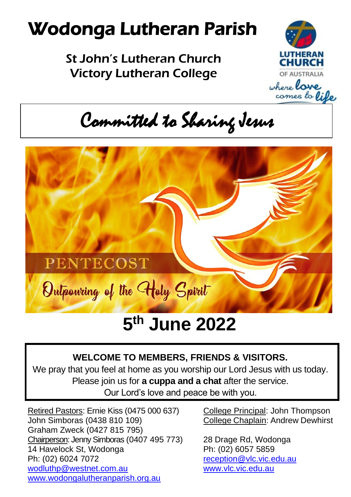# Wodonga Lutheran Parish

St John's Lutheran Church Victory Lutheran College



where **lave** comes to lile

Committed to Sharing Jesus



# **5 th June 2022**

# **WELCOME TO MEMBERS, FRIENDS & VISITORS.**

We pray that you feel at home as you worship our Lord Jesus with us today. Please join us for **a cuppa and a chat** after the service. Our Lord's love and peace be with you.

Retired Pastors: Ernie Kiss (0475 000 637) College Principal: John Thompson John Simboras (0438 810 109) College Chaplain: Andrew Dewhirst Graham Zweck (0427 815 795) Chairperson: Jenny Simboras (0407 495 773) 28 Drage Rd, Wodonga 14 Havelock St. Wodonga Ph: (02) 6057 5859 Ph: (02) 6024 7072<br>
wodluthp@westnet.com.au modluthp@westnet.com.au [wodluthp@westnet.com.au](mailto:wodluthp@%20westnet.com.au) [www.wodongalutheranparish.org.au](http://www.wodongalutheranparish.org.au/)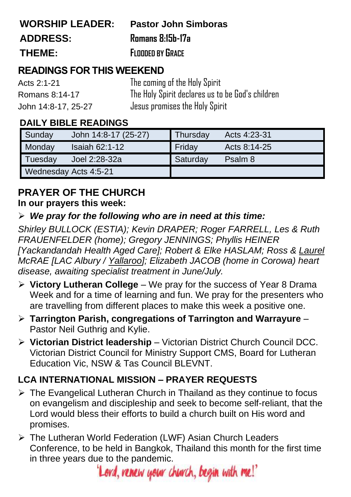| <b>WORSHIP LEADER:</b> | <b>Pastor John Simboras</b> |
|------------------------|-----------------------------|
| <b>ADDRESS:</b>        | Romans 8:15b-17a            |
| THEME:                 | <b>FLOODED BY GRACE</b>     |

# **READINGS FOR THIS WEEKEND**

| Acts 2:1-21         | The coming of the Holy Spirit                    |
|---------------------|--------------------------------------------------|
| Romans 8:14-17      | The Holy Spirit declares us to be God's children |
| John 14:8-17, 25-27 | Jesus promises the Holy Spirit                   |

# **DAILY BIBLE READINGS**

| Sunday                | John 14:8-17 (25-27) | Thursday | Acts 4:23-31 |
|-----------------------|----------------------|----------|--------------|
| Monday                | Isaiah $62:1-12$     | Friday   | Acts 8:14-25 |
| Tuesday               | Joel 2:28-32a        | Saturday | Psalm 8      |
| Wednesday Acts 4:5-21 |                      |          |              |

## **PRAYER OF THE CHURCH In our prayers this week:**

## ➢ *We pray for the following who are in need at this time:*

*Shirley BULLOCK (ESTIA); Kevin DRAPER; Roger FARRELL, Les & Ruth FRAUENFELDER (home); Gregory JENNINGS; Phyllis HEINER [Yackandandah Health Aged Care]; Robert & Elke HASLAM; Ross & Laurel McRAE [LAC Albury / Yallaroo]; Elizabeth JACOB (home in Corowa) heart disease, awaiting specialist treatment in June/July.*

- ➢ **Victory Lutheran College** We pray for the success of Year 8 Drama Week and for a time of learning and fun. We pray for the presenters who are travelling from different places to make this week a positive one.
- ➢ **Tarrington Parish, congregations of Tarrington and Warrayure** Pastor Neil Guthrig and Kylie.
- ➢ **Victorian District leadership** Victorian District Church Council DCC. Victorian District Council for Ministry Support CMS, Board for Lutheran Education Vic, NSW & Tas Council BLEVNT.

# **LCA INTERNATIONAL MISSION – PRAYER REQUESTS**

- ➢ The Evangelical Lutheran Church in Thailand as they continue to focus on evangelism and discipleship and seek to become self-reliant, that the Lord would bless their efforts to build a church built on His word and promises.
- ➢ The Lutheran World Federation (LWF) Asian Church Leaders Conference, to be held in Bangkok, Thailand this month for the first time in three years due to the pandemic.

'Lord, renew your church, begin with me!'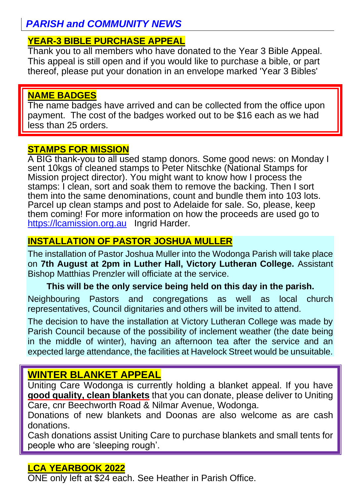# *PARISH and COMMUNITY NEWS*

# **YEAR-3 BIBLE PURCHASE APPEAL**

Thank you to all members who have donated to the Year 3 Bible Appeal. This appeal is still open and if you would like to purchase a bible, or part thereof, please put your donation in an envelope marked 'Year 3 Bibles'

#### **NAME BADGES**

The name badges have arrived and can be collected from the office upon payment. The cost of the badges worked out to be \$16 each as we had less than 25 orders.

#### **STAMPS FOR MISSION**

A BIG thank-you to all used stamp donors. Some good news: on Monday I sent 10kgs of cleaned stamps to Peter Nitschke (National Stamps for Mission project director). You might want to know how I process the stamps: I clean, sort and soak them to remove the backing. Then I sort them into the same denominations, count and bundle them into 103 lots. Parcel up clean stamps and post to Adelaide for sale. So, please, keep them coming! For more information on how the proceeds are used go to [https://lcamission.org.au](https://lcamission.org.au/) Ingrid Harder.

# **INSTALLATION OF PASTOR JOSHUA MULLER**

The installation of Pastor Joshua Muller into the Wodonga Parish will take place on **7th August at 2pm in Luther Hall, Victory Lutheran College.** Assistant Bishop Matthias Prenzler will officiate at the service.

#### **This will be the only service being held on this day in the parish.**

Neighbouring Pastors and congregations as well as local church representatives, Council dignitaries and others will be invited to attend.

The decision to have the installation at Victory Lutheran College was made by Parish Council because of the possibility of inclement weather (the date being in the middle of winter), having an afternoon tea after the service and an expected large attendance, the facilities at Havelock Street would be unsuitable.

# **WINTER BLANKET APPEAL**

Uniting Care Wodonga is currently holding a blanket appeal. If you have **good quality, clean blankets** that you can donate, please deliver to Uniting Care, cnr Beechworth Road & Nilmar Avenue, Wodonga.

Donations of new blankets and Doonas are also welcome as are cash donations.

Cash donations assist Uniting Care to purchase blankets and small tents for people who are 'sleeping rough'.

## **LCA YEARBOOK 2022**

ONE only left at \$24 each. See Heather in Parish Office.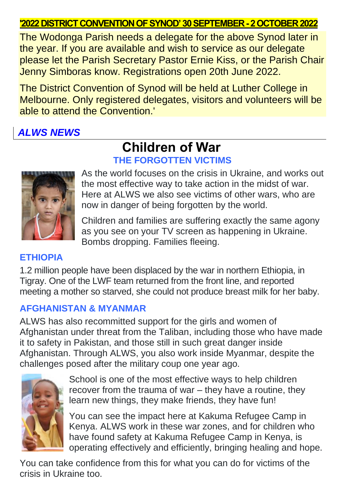# **'2022 DISTRICT CONVENTION OF SYNOD'30 SEPTEMBER -2 OCTOBER 2022**

The Wodonga Parish needs a delegate for the above Synod later in the year. If you are available and wish to service as our delegate please let the Parish Secretary Pastor Ernie Kiss, or the Parish Chair Jenny Simboras know. Registrations open 20th June 2022.

The District Convention of Synod will be held at Luther College in Melbourne. Only registered delegates, visitors and volunteers will be able to attend the Convention.'

# *ALWS NEWS*

# **Children of War THE FORGOTTEN VICTIMS**



As the world focuses on the crisis in Ukraine, and works out the most effective way to take action in the midst of war. Here at ALWS we also see victims of other wars, who are now in danger of being forgotten by the world.

Children and families are suffering exactly the same agony as you see on your TV screen as happening in Ukraine. Bombs dropping. Families fleeing.

#### **ETHIOPIA**

1.2 million people have been displaced by the war in northern Ethiopia, in Tigray. One of the LWF team returned from the front line, and reported meeting a mother so starved, she could not produce breast milk for her baby.

## **AFGHANISTAN & MYANMAR**

ALWS has also recommitted support for the girls and women of Afghanistan under threat from the Taliban, including those who have made it to safety in Pakistan, and those still in such great danger inside Afghanistan. Through ALWS, you also work inside Myanmar, despite the challenges posed after the military coup one year ago.



School is one of the most effective ways to help children recover from the trauma of war – they have a routine, they learn new things, they make friends, they have fun!

You can see the impact here at Kakuma Refugee Camp in Kenya. ALWS work in these war zones, and for children who have found safety at Kakuma Refugee Camp in Kenya, is operating effectively and efficiently, bringing healing and hope.

You can take confidence from this for what you can do for victims of the crisis in Ukraine too.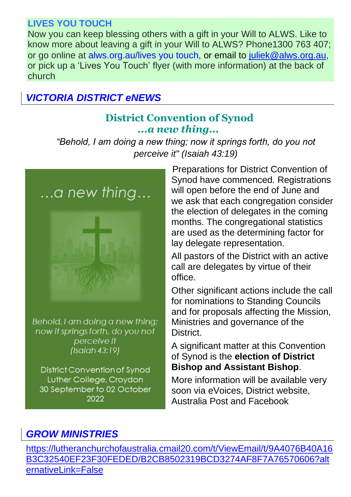# **LIVES YOU TOUCH**

Now you can keep blessing others with a gift in your Will to ALWS. Like to know more about leaving a gift in your Will to ALWS? Phone1300 763 407; or go online at alws.org.au/lives you touch, or email to [juliek@alws.org.au,](mailto:juliek@alws.org.au) or pick up a 'Lives You Touch' flyer (with more information) at the back of church

# *VICTORIA DISTRICT eNEWS*

# **District Convention of Synod** *...a new thing...*

*"Behold, I am doing a new thing; now it springs forth, do you not perceive it" (Isaiah 43:19)*



Behold, I am doing a new thing; now it springs forth, do you not perceive it  $(Isaiah 43:19)$ 

District Convention of Synod Luther College, Croydon 30 September to 02 October 2022

Preparations for District Convention of Synod have commenced. Registrations will open before the end of June and we ask that each congregation consider the election of delegates in the coming months. The congregational statistics are used as the determining factor for lay delegate representation.

All pastors of the District with an active call are delegates by virtue of their office.

Other significant actions include the call for nominations to Standing Councils and for proposals affecting the Mission, Ministries and governance of the **District** 

A significant matter at this Convention of Synod is the **election of District Bishop and Assistant Bishop**.

More information will be available very soon via eVoices, District website, Australia Post and Facebook

# *GROW MINISTRIES*

[https://lutheranchurchofaustralia.cmail20.com/t/ViewEmail/t/9A4076B40A16](https://lutheranchurchofaustralia.cmail20.com/t/ViewEmail/t/9A4076B40A16B3C32540EF23F30FEDED/B2CB8502319BCD3274AF8F7A76570606?alternativeLink=False) [B3C32540EF23F30FEDED/B2CB8502319BCD3274AF8F7A76570606?alt](https://lutheranchurchofaustralia.cmail20.com/t/ViewEmail/t/9A4076B40A16B3C32540EF23F30FEDED/B2CB8502319BCD3274AF8F7A76570606?alternativeLink=False) [ernativeLink=False](https://lutheranchurchofaustralia.cmail20.com/t/ViewEmail/t/9A4076B40A16B3C32540EF23F30FEDED/B2CB8502319BCD3274AF8F7A76570606?alternativeLink=False)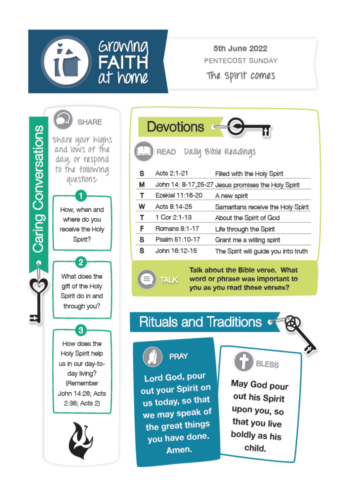

5th June 2022 PENTECOST SUNDAY The SPIrit comes



|   | <b>Devotions</b>          |                                                    |
|---|---------------------------|----------------------------------------------------|
|   | READ Daily Bible Readings |                                                    |
| s | Acts 2:1-21               | Filled with the Holy Spirit                        |
| М |                           | John 14: 8-17,25-27 Jesus promises the Holy Spirit |
| т | Ezekiel 11:16-20          | A new spirit                                       |
| w | Acts 8:14-25              | Samaritans receive the Holy Spirit                 |
| т | 1 Cor 2:1-13              | About the Spirit of God                            |
| F | Romans 8:1-17             | Life through the Spirit                            |
| s | Psalm 51:10-17            | Grant me a willing spirit                          |
| s | John 16:12-15             | The Spirit will guide you into truth               |
|   |                           | Talle also it that Dible issues. Milest            |

about the Bible verse. word or phrase was important to you as you read these verses?

# **Rituals and Traditions of**



PRAY

**TALK** 

Lord God, pour out your Spirit on us today, so that we may speak of the great things you have done. Amen.



May God pour out his Spirit upon you, so that you live boldly as his child.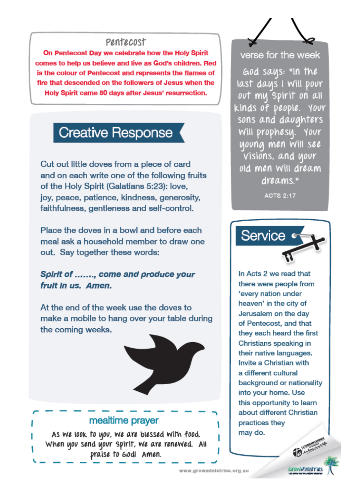#### Pentecost

On Pentecost Day we celebrate how the Holy Spirit comes to help us believe and live as God's children. Red is the colour of Pentecost and represents the flames of fire that descended on the followers of Jesus when the Holy Spirit came 50 days after Jesus' resurrection.

# **Creative Response**

Cut out little doves from a piece of card and on each write one of the following fruits of the Holy Spirit (Galatians 5:23): love, jov. peace, patience, kindness, generosity. faithfulness, gentleness and self-control.

Place the doves in a bowl and before each meal ask a household member to draw one out. Sav together these words:

#### Spirit of ......., come and produce your fruit in us. Amen.

At the end of the week use the doves to make a mobile to hang over your table during the coming weeks.



#### verse for the week

God saus: "In the last daus I will pour out my spirit on all kinds of people. Your sons and davanters Will prophesy. Your young men Will see Visions, and your old men will dream dreams."

**ACTS 2:17** 



In Acts 2 we read that there were people from 'every nation under heaven' in the city of Jerusalem on the day of Pentecost, and that they each heard the first Christians speaking in their native languages. Invite a Christian with a different cultural background or nationality into your home. Use this opportunity to learn about different Christian practices they may do.



www.growministries.org.au